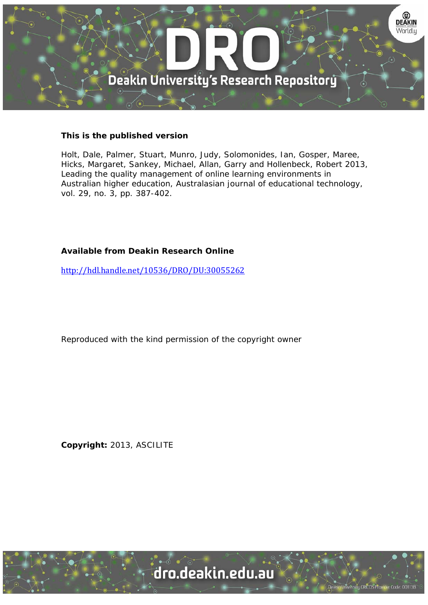

### **This is the published version**

Holt, Dale, Palmer, Stuart, Munro, Judy, Solomonides, Ian, Gosper, Maree, Hicks, Margaret, Sankey, Michael, Allan, Garry and Hollenbeck, Robert 2013, Leading the quality management of online learning environments in Australian higher education, Australasian journal of educational technology, vol. 29, no. 3, pp. 387-402.

# **Available from Deakin Research Online**

http://hdl.handle.net/10536/DRO/DU:30055262

Reproduced with the kind permission of the copyright owner

**Copyright:** 2013, ASCILITE

University CRICOS Provider Code: 00113B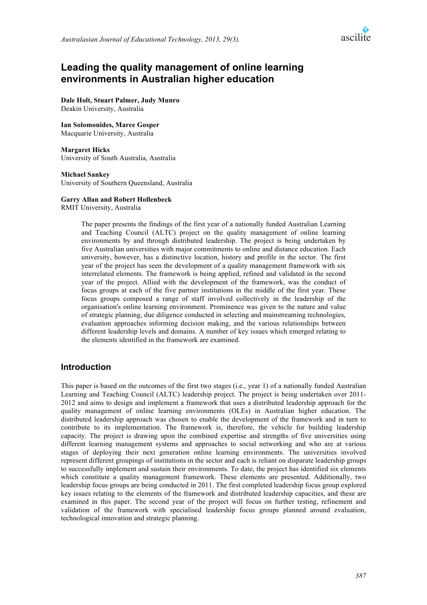

# **Leading the quality management of online learning environments in Australian higher education**

**Dale Holt, Stuart Palmer, Judy Munro** Deakin University, Australia

**Ian Solomonides, Maree Gosper** Macquarie University, Australia

#### **Margaret Hicks**

University of South Australia, Australia

#### **Michael Sankey**

University of Southern Queensland, Australia

#### **Garry Allan and Robert Hollenbeck**

RMIT University, Australia

The paper presents the findings of the first year of a nationally funded Australian Learning and Teaching Council (ALTC) project on the quality management of online learning environments by and through distributed leadership. The project is being undertaken by five Australian universities with major commitments to online and distance education. Each university, however, has a distinctive location, history and profile in the sector. The first year of the project has seen the development of a quality management framework with six interrelated elements. The framework is being applied, refined and validated in the second year of the project. Allied with the development of the framework, was the conduct of focus groups at each of the five partner institutions in the middle of the first year. These focus groups composed a range of staff involved collectively in the leadership of the organisation's online learning environment. Prominence was given to the nature and value of strategic planning, due diligence conducted in selecting and mainstreaming technologies, evaluation approaches informing decision making, and the various relationships between different leadership levels and domains. A number of key issues which emerged relating to the elements identified in the framework are examined.

#### **Introduction**

This paper is based on the outcomes of the first two stages (i.e., year 1) of a nationally funded Australian Learning and Teaching Council (ALTC) leadership project. The project is being undertaken over 2011- 2012 and aims to design and implement a framework that uses a distributed leadership approach for the quality management of online learning environments (OLEs) in Australian higher education. The distributed leadership approach was chosen to enable the development of the framework and in turn to contribute to its implementation. The framework is, therefore, the vehicle for building leadership capacity. The project is drawing upon the combined expertise and strengths of five universities using different learning management systems and approaches to social networking and who are at various stages of deploying their next generation online learning environments. The universities involved represent different groupings of institutions in the sector and each is reliant on disparate leadership groups to successfully implement and sustain their environments. To date, the project has identified six elements which constitute a quality management framework. These elements are presented. Additionally, two leadership focus groups are being conducted in 2011. The first completed leadership focus group explored key issues relating to the elements of the framework and distributed leadership capacities, and these are examined in this paper. The second year of the project will focus on further testing, refinement and validation of the framework with specialised leadership focus groups planned around evaluation, technological innovation and strategic planning.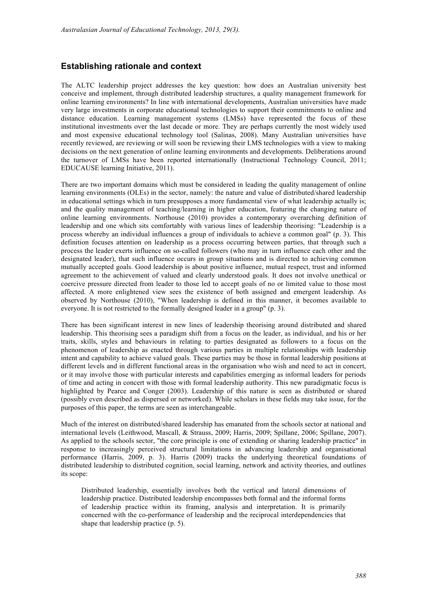### **Establishing rationale and context**

The ALTC leadership project addresses the key question: how does an Australian university best conceive and implement, through distributed leadership structures, a quality management framework for online learning environments? In line with international developments, Australian universities have made very large investments in corporate educational technologies to support their commitments to online and distance education. Learning management systems (LMSs) have represented the focus of these institutional investments over the last decade or more. They are perhaps currently the most widely used and most expensive educational technology tool (Salinas, 2008). Many Australian universities have recently reviewed, are reviewing or will soon be reviewing their LMS technologies with a view to making decisions on the next generation of online learning environments and developments. Deliberations around the turnover of LMSs have been reported internationally (Instructional Technology Council, 2011; EDUCAUSE learning Initiative, 2011).

There are two important domains which must be considered in leading the quality management of online learning environments (OLEs) in the sector, namely: the nature and value of distributed/shared leadership in educational settings which in turn presupposes a more fundamental view of what leadership actually is; and the quality management of teaching/learning in higher education, featuring the changing nature of online learning environments. Northouse (2010) provides a contemporary overarching definition of leadership and one which sits comfortably with various lines of leadership theorising: "Leadership is a process whereby an individual influences a group of individuals to achieve a common goal" (p. 3). This definition focuses attention on leadership as a process occurring between parties, that through such a process the leader exerts influence on so-called followers (who may in turn influence each other and the designated leader), that such influence occurs in group situations and is directed to achieving common mutually accepted goals. Good leadership is about positive influence, mutual respect, trust and informed agreement to the achievement of valued and clearly understood goals. It does not involve unethical or coercive pressure directed from leader to those led to accept goals of no or limited value to those most affected. A more enlightened view sees the existence of both assigned and emergent leadership. As observed by Northouse (2010), "When leadership is defined in this manner, it becomes available to everyone. It is not restricted to the formally designed leader in a group" (p. 3).

There has been significant interest in new lines of leadership theorising around distributed and shared leadership. This theorising sees a paradigm shift from a focus on the leader, as individual, and his or her traits, skills, styles and behaviours in relating to parties designated as followers to a focus on the phenomenon of leadership as enacted through various parties in multiple relationships with leadership intent and capability to achieve valued goals. These parties may be those in formal leadership positions at different levels and in different functional areas in the organisation who wish and need to act in concert, or it may involve those with particular interests and capabilities emerging as informal leaders for periods of time and acting in concert with those with formal leadership authority. This new paradigmatic focus is highlighted by Pearce and Conger (2003). Leadership of this nature is seen as distributed or shared (possibly even described as dispersed or networked). While scholars in these fields may take issue, for the purposes of this paper, the terms are seen as interchangeable.

Much of the interest on distributed/shared leadership has emanated from the schools sector at national and international levels (Leithwood, Mascall, & Strauss, 2009; Harris, 2009; Spillane, 2006; Spillane, 2007). As applied to the schools sector, "the core principle is one of extending or sharing leadership practice" in response to increasingly perceived structural limitations in advancing leadership and organisational performance (Harris, 2009, p. 3). Harris (2009) tracks the underlying theoretical foundations of distributed leadership to distributed cognition, social learning, network and activity theories, and outlines its scope:

Distributed leadership, essentially involves both the vertical and lateral dimensions of leadership practice. Distributed leadership encompasses both formal and the informal forms of leadership practice within its framing, analysis and interpretation. It is primarily concerned with the co-performance of leadership and the reciprocal interdependencies that shape that leadership practice (p. 5).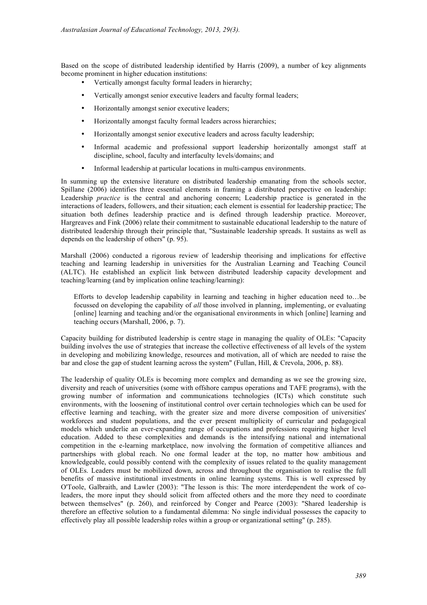Based on the scope of distributed leadership identified by Harris (2009), a number of key alignments become prominent in higher education institutions:

- Vertically amongst faculty formal leaders in hierarchy;
- Vertically amongst senior executive leaders and faculty formal leaders;
- Horizontally amongst senior executive leaders;
- Horizontally amongst faculty formal leaders across hierarchies;
- Horizontally amongst senior executive leaders and across faculty leadership;
- Informal academic and professional support leadership horizontally amongst staff at discipline, school, faculty and interfaculty levels/domains; and
- Informal leadership at particular locations in multi-campus environments.

In summing up the extensive literature on distributed leadership emanating from the schools sector, Spillane (2006) identifies three essential elements in framing a distributed perspective on leadership: Leadership *practice* is the central and anchoring concern; Leadership practice is generated in the interactions of leaders, followers, and their situation; each element is essential for leadership practice; The situation both defines leadership practice and is defined through leadership practice. Moreover, Hargreaves and Fink (2006) relate their commitment to sustainable educational leadership to the nature of distributed leadership through their principle that, "Sustainable leadership spreads. It sustains as well as depends on the leadership of others" (p. 95).

Marshall (2006) conducted a rigorous review of leadership theorising and implications for effective teaching and learning leadership in universities for the Australian Learning and Teaching Council (ALTC). He established an explicit link between distributed leadership capacity development and teaching/learning (and by implication online teaching/learning):

Efforts to develop leadership capability in learning and teaching in higher education need to…be focussed on developing the capability of *all* those involved in planning, implementing, or evaluating [online] learning and teaching and/or the organisational environments in which [online] learning and teaching occurs (Marshall, 2006, p. 7).

Capacity building for distributed leadership is centre stage in managing the quality of OLEs: "Capacity building involves the use of strategies that increase the collective effectiveness of all levels of the system in developing and mobilizing knowledge, resources and motivation, all of which are needed to raise the bar and close the gap of student learning across the system" (Fullan, Hill, & Crevola, 2006, p. 88).

The leadership of quality OLEs is becoming more complex and demanding as we see the growing size, diversity and reach of universities (some with offshore campus operations and TAFE programs), with the growing number of information and communications technologies (ICTs) which constitute such environments, with the loosening of institutional control over certain technologies which can be used for effective learning and teaching, with the greater size and more diverse composition of universities' workforces and student populations, and the ever present multiplicity of curricular and pedagogical models which underlie an ever-expanding range of occupations and professions requiring higher level education. Added to these complexities and demands is the intensifying national and international competition in the e-learning marketplace, now involving the formation of competitive alliances and partnerships with global reach. No one formal leader at the top, no matter how ambitious and knowledgeable, could possibly contend with the complexity of issues related to the quality management of OLEs. Leaders must be mobilized down, across and throughout the organisation to realise the full benefits of massive institutional investments in online learning systems. This is well expressed by O'Toole, Galbraith, and Lawler (2003): "The lesson is this: The more interdependent the work of coleaders, the more input they should solicit from affected others and the more they need to coordinate between themselves" (p. 260), and reinforced by Conger and Pearce (2003): "Shared leadership is therefore an effective solution to a fundamental dilemma: No single individual possesses the capacity to effectively play all possible leadership roles within a group or organizational setting" (p. 285).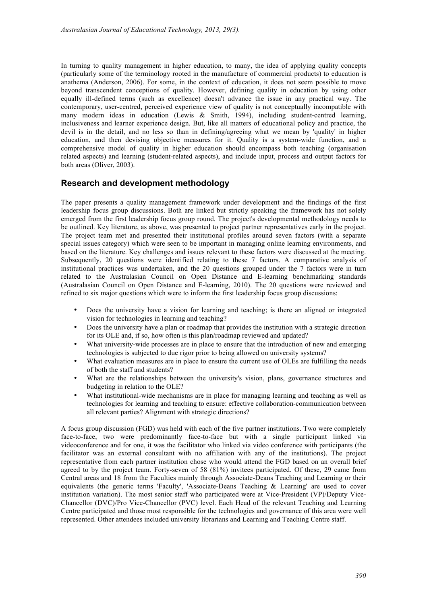In turning to quality management in higher education, to many, the idea of applying quality concepts (particularly some of the terminology rooted in the manufacture of commercial products) to education is anathema (Anderson, 2006). For some, in the context of education, it does not seem possible to move beyond transcendent conceptions of quality. However, defining quality in education by using other equally ill-defined terms (such as excellence) doesn't advance the issue in any practical way. The contemporary, user-centred, perceived experience view of quality is not conceptually incompatible with many modern ideas in education (Lewis & Smith, 1994), including student-centred learning, inclusiveness and learner experience design. But, like all matters of educational policy and practice, the devil is in the detail, and no less so than in defining/agreeing what we mean by 'quality' in higher education, and then devising objective measures for it. Quality is a system-wide function, and a comprehensive model of quality in higher education should encompass both teaching (organisation related aspects) and learning (student-related aspects), and include input, process and output factors for both areas (Oliver, 2003).

### **Research and development methodology**

The paper presents a quality management framework under development and the findings of the first leadership focus group discussions. Both are linked but strictly speaking the framework has not solely emerged from the first leadership focus group round. The project's developmental methodology needs to be outlined. Key literature, as above, was presented to project partner representatives early in the project. The project team met and presented their institutional profiles around seven factors (with a separate special issues category) which were seen to be important in managing online learning environments, and based on the literature. Key challenges and issues relevant to these factors were discussed at the meeting. Subsequently, 20 questions were identified relating to these 7 factors. A comparative analysis of institutional practices was undertaken, and the 20 questions grouped under the 7 factors were in turn related to the Australasian Council on Open Distance and E-learning benchmarking standards (Australasian Council on Open Distance and E-learning, 2010). The 20 questions were reviewed and refined to six major questions which were to inform the first leadership focus group discussions:

- Does the university have a vision for learning and teaching; is there an aligned or integrated vision for technologies in learning and teaching?
- Does the university have a plan or roadmap that provides the institution with a strategic direction for its OLE and, if so, how often is this plan/roadmap reviewed and updated?
- What university-wide processes are in place to ensure that the introduction of new and emerging technologies is subjected to due rigor prior to being allowed on university systems?
- What evaluation measures are in place to ensure the current use of OLEs are fulfilling the needs of both the staff and students?
- What are the relationships between the university's vision, plans, governance structures and budgeting in relation to the OLE?
- What institutional-wide mechanisms are in place for managing learning and teaching as well as technologies for learning and teaching to ensure: effective collaboration-communication between all relevant parties? Alignment with strategic directions?

A focus group discussion (FGD) was held with each of the five partner institutions. Two were completely face-to-face, two were predominantly face-to-face but with a single participant linked via videoconference and for one, it was the facilitator who linked via video conference with participants (the facilitator was an external consultant with no affiliation with any of the institutions). The project representative from each partner institution chose who would attend the FGD based on an overall brief agreed to by the project team. Forty-seven of 58 (81%) invitees participated. Of these, 29 came from Central areas and 18 from the Faculties mainly through Associate-Deans Teaching and Learning or their equivalents (the generic terms 'Faculty', 'Associate-Deans Teaching & Learning' are used to cover institution variation). The most senior staff who participated were at Vice-President (VP)/Deputy Vice-Chancellor (DVC)/Pro Vice-Chancellor (PVC) level. Each Head of the relevant Teaching and Learning Centre participated and those most responsible for the technologies and governance of this area were well represented. Other attendees included university librarians and Learning and Teaching Centre staff.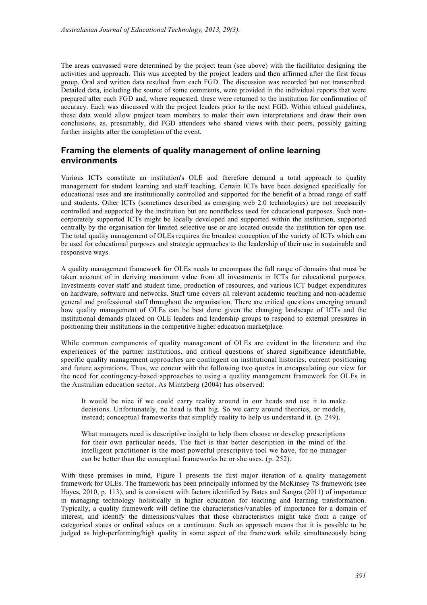The areas canvassed were determined by the project team (see above) with the facilitator designing the activities and approach. This was accepted by the project leaders and then affirmed after the first focus group. Oral and written data resulted from each FGD. The discussion was recorded but not transcribed. Detailed data, including the source of some comments, were provided in the individual reports that were prepared after each FGD and, where requested, these were returned to the institution for confirmation of accuracy. Each was discussed with the project leaders prior to the next FGD. Within ethical guidelines, these data would allow project team members to make their own interpretations and draw their own conclusions, as, presumably, did FGD attendees who shared views with their peers, possibly gaining further insights after the completion of the event.

### **Framing the elements of quality management of online learning environments**

Various ICTs constitute an institution's OLE and therefore demand a total approach to quality management for student learning and staff teaching. Certain ICTs have been designed specifically for educational uses and are institutionally controlled and supported for the benefit of a broad range of staff and students. Other ICTs (sometimes described as emerging web 2.0 technologies) are not necessarily controlled and supported by the institution but are nonetheless used for educational purposes. Such noncorporately supported ICTs might be locally developed and supported within the institution, supported centrally by the organisation for limited selective use or are located outside the institution for open use. The total quality management of OLEs requires the broadest conception of the variety of ICTs which can be used for educational purposes and strategic approaches to the leadership of their use in sustainable and responsive ways.

A quality management framework for OLEs needs to encompass the full range of domains that must be taken account of in deriving maximum value from all investments in ICTs for educational purposes. Investments cover staff and student time, production of resources, and various ICT budget expenditures on hardware, software and networks. Staff time covers all relevant academic teaching and non-academic general and professional staff throughout the organisation. There are critical questions emerging around how quality management of OLEs can be best done given the changing landscape of ICTs and the institutional demands placed on OLE leaders and leadership groups to respond to external pressures in positioning their institutions in the competitive higher education marketplace.

While common components of quality management of OLEs are evident in the literature and the experiences of the partner institutions, and critical questions of shared significance identifiable, specific quality management approaches are contingent on institutional histories, current positioning and future aspirations. Thus, we concur with the following two quotes in encapsulating our view for the need for contingency-based approaches to using a quality management framework for OLEs in the Australian education sector. As Mintzberg (2004) has observed:

It would be nice if we could carry reality around in our heads and use it to make decisions. Unfortunately, no head is that big. So we carry around theories, or models, instead; conceptual frameworks that simplify reality to help us understand it. (p. 249).

What managers need is descriptive insight to help them choose or develop prescriptions for their own particular needs. The fact is that better description in the mind of the intelligent practitioner is the most powerful prescriptive tool we have, for no manager can be better than the conceptual frameworks he or she uses. (p. 252).

With these premises in mind, Figure 1 presents the first major iteration of a quality management framework for OLEs. The framework has been principally informed by the McKinsey 7S framework (see Hayes, 2010, p. 113), and is consistent with factors identified by Bates and Sangra (2011) of importance in managing technology holistically in higher education for teaching and learning transformation. Typically, a quality framework will define the characteristics/variables of importance for a domain of interest, and identify the dimensions/values that those characteristics might take from a range of categorical states or ordinal values on a continuum. Such an approach means that it is possible to be judged as high-performing/high quality in some aspect of the framework while simultaneously being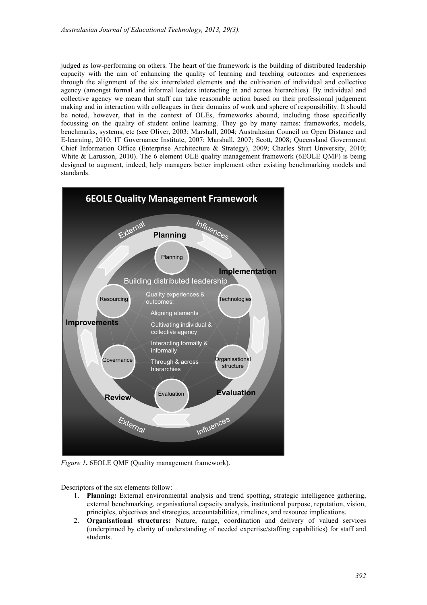judged as low-performing on others. The heart of the framework is the building of distributed leadership capacity with the aim of enhancing the quality of learning and teaching outcomes and experiences through the alignment of the six interrelated elements and the cultivation of individual and collective agency (amongst formal and informal leaders interacting in and across hierarchies). By individual and collective agency we mean that staff can take reasonable action based on their professional judgement making and in interaction with colleagues in their domains of work and sphere of responsibility. It should be noted, however, that in the context of OLEs, frameworks abound, including those specifically focussing on the quality of student online learning. They go by many names: frameworks, models, benchmarks, systems, etc (see Oliver, 2003; Marshall, 2004; Australasian Council on Open Distance and E-learning, 2010; IT Governance Institute, 2007; Marshall, 2007; Scott, 2008; Queensland Government Chief Information Office (Enterprise Architecture & Strategy), 2009; Charles Sturt University, 2010; White & Larusson, 2010). The 6 element OLE quality management framework (6EOLE QMF) is being designed to augment, indeed, help managers better implement other existing benchmarking models and standards.



*Figure 1***.** 6EOLE QMF (Quality management framework).

Descriptors of the six elements follow:

- 1. **Planning:** External environmental analysis and trend spotting, strategic intelligence gathering, external benchmarking, organisational capacity analysis, institutional purpose, reputation, vision, principles, objectives and strategies, accountabilities, timelines, and resource implications.
- 2. **Organisational structures:** Nature, range, coordination and delivery of valued services (underpinned by clarity of understanding of needed expertise/staffing capabilities) for staff and students.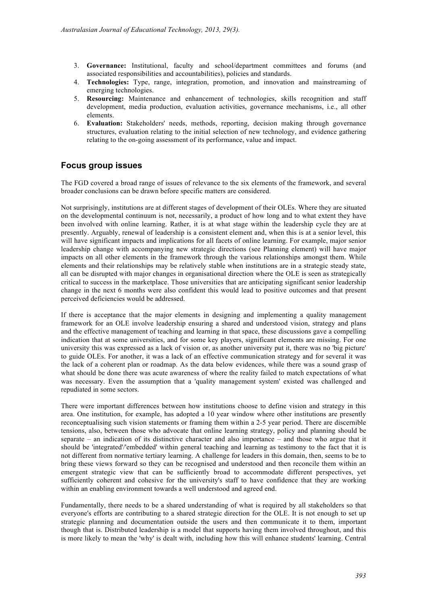- 3. **Governance:** Institutional, faculty and school/department committees and forums (and associated responsibilities and accountabilities), policies and standards.
- 4. **Technologies:** Type, range, integration, promotion, and innovation and mainstreaming of emerging technologies.
- 5. **Resourcing:** Maintenance and enhancement of technologies, skills recognition and staff development, media production, evaluation activities, governance mechanisms, i.e., all other elements.
- 6. **Evaluation:** Stakeholders' needs, methods, reporting, decision making through governance structures, evaluation relating to the initial selection of new technology, and evidence gathering relating to the on-going assessment of its performance, value and impact.

### **Focus group issues**

The FGD covered a broad range of issues of relevance to the six elements of the framework, and several broader conclusions can be drawn before specific matters are considered.

Not surprisingly, institutions are at different stages of development of their OLEs. Where they are situated on the developmental continuum is not, necessarily, a product of how long and to what extent they have been involved with online learning. Rather, it is at what stage within the leadership cycle they are at presently. Arguably, renewal of leadership is a consistent element and, when this is at a senior level, this will have significant impacts and implications for all facets of online learning. For example, major senior leadership change with accompanying new strategic directions (see Planning element) will have major impacts on all other elements in the framework through the various relationships amongst them. While elements and their relationships may be relatively stable when institutions are in a strategic steady state, all can be disrupted with major changes in organisational direction where the OLE is seen as strategically critical to success in the marketplace. Those universities that are anticipating significant senior leadership change in the next 6 months were also confident this would lead to positive outcomes and that present perceived deficiencies would be addressed.

If there is acceptance that the major elements in designing and implementing a quality management framework for an OLE involve leadership ensuring a shared and understood vision, strategy and plans and the effective management of teaching and learning in that space, these discussions gave a compelling indication that at some universities, and for some key players, significant elements are missing. For one university this was expressed as a lack of vision or, as another university put it, there was no 'big picture' to guide OLEs. For another, it was a lack of an effective communication strategy and for several it was the lack of a coherent plan or roadmap. As the data below evidences, while there was a sound grasp of what should be done there was acute awareness of where the reality failed to match expectations of what was necessary. Even the assumption that a 'quality management system' existed was challenged and repudiated in some sectors.

There were important differences between how institutions choose to define vision and strategy in this area. One institution, for example, has adopted a 10 year window where other institutions are presently reconceptualising such vision statements or framing them within a 2-5 year period. There are discernible tensions, also, between those who advocate that online learning strategy, policy and planning should be separate – an indication of its distinctive character and also importance – and those who argue that it should be 'integrated'/'embedded' within general teaching and learning as testimony to the fact that it is not different from normative tertiary learning. A challenge for leaders in this domain, then, seems to be to bring these views forward so they can be recognised and understood and then reconcile them within an emergent strategic view that can be sufficiently broad to accommodate different perspectives, yet sufficiently coherent and cohesive for the university's staff to have confidence that they are working within an enabling environment towards a well understood and agreed end.

Fundamentally, there needs to be a shared understanding of what is required by all stakeholders so that everyone's efforts are contributing to a shared strategic direction for the OLE. It is not enough to set up strategic planning and documentation outside the users and then communicate it to them, important though that is. Distributed leadership is a model that supports having them involved throughout, and this is more likely to mean the 'why' is dealt with, including how this will enhance students' learning. Central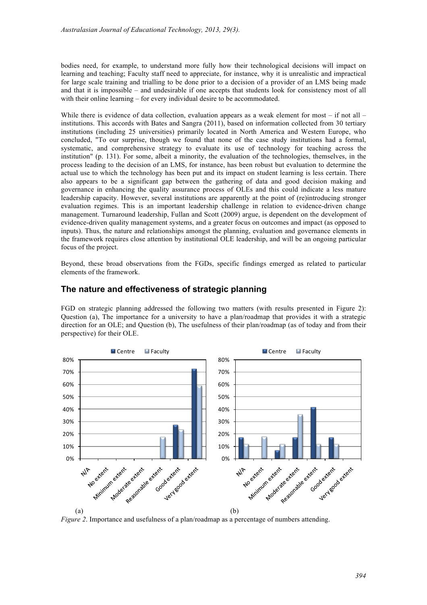bodies need, for example, to understand more fully how their technological decisions will impact on learning and teaching; Faculty staff need to appreciate, for instance, why it is unrealistic and impractical for large scale training and trialling to be done prior to a decision of a provider of an LMS being made and that it is impossible – and undesirable if one accepts that students look for consistency most of all with their online learning – for every individual desire to be accommodated.

While there is evidence of data collection, evaluation appears as a weak element for most – if not all – institutions. This accords with Bates and Sangra (2011), based on information collected from 30 tertiary institutions (including 25 universities) primarily located in North America and Western Europe, who concluded, "To our surprise, though we found that none of the case study institutions had a formal, systematic, and comprehensive strategy to evaluate its use of technology for teaching across the institution" (p. 131). For some, albeit a minority, the evaluation of the technologies, themselves, in the process leading to the decision of an LMS, for instance, has been robust but evaluation to determine the actual use to which the technology has been put and its impact on student learning is less certain. There also appears to be a significant gap between the gathering of data and good decision making and governance in enhancing the quality assurance process of OLEs and this could indicate a less mature leadership capacity. However, several institutions are apparently at the point of (re)introducing stronger evaluation regimes. This is an important leadership challenge in relation to evidence-driven change management. Turnaround leadership, Fullan and Scott (2009) argue, is dependent on the development of evidence-driven quality management systems, and a greater focus on outcomes and impact (as opposed to inputs). Thus, the nature and relationships amongst the planning, evaluation and governance elements in the framework requires close attention by institutional OLE leadership, and will be an ongoing particular focus of the project.

Beyond, these broad observations from the FGDs, specific findings emerged as related to particular elements of the framework.

#### **The nature and effectiveness of strategic planning**

FGD on strategic planning addressed the following two matters (with results presented in Figure 2): Question (a), The importance for a university to have a plan/roadmap that provides it with a strategic direction for an OLE; and Question (b), The usefulness of their plan/roadmap (as of today and from their perspective) for their OLE.



*Figure 2*. Importance and usefulness of a plan/roadmap as a percentage of numbers attending.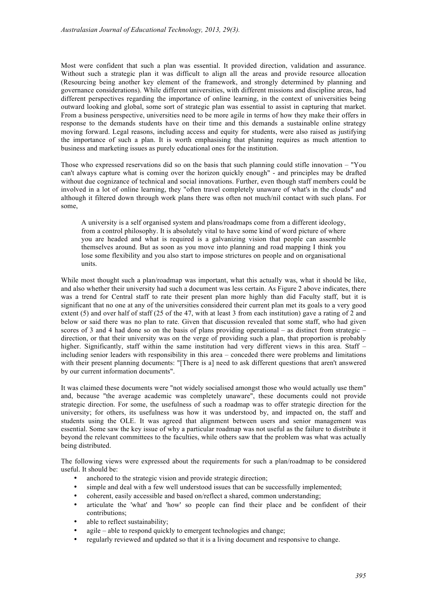Most were confident that such a plan was essential. It provided direction, validation and assurance. Without such a strategic plan it was difficult to align all the areas and provide resource allocation (Resourcing being another key element of the framework, and strongly determined by planning and governance considerations). While different universities, with different missions and discipline areas, had different perspectives regarding the importance of online learning, in the context of universities being outward looking and global, some sort of strategic plan was essential to assist in capturing that market. From a business perspective, universities need to be more agile in terms of how they make their offers in response to the demands students have on their time and this demands a sustainable online strategy moving forward. Legal reasons, including access and equity for students, were also raised as justifying the importance of such a plan. It is worth emphasising that planning requires as much attention to business and marketing issues as purely educational ones for the institution.

Those who expressed reservations did so on the basis that such planning could stifle innovation – "You can't always capture what is coming over the horizon quickly enough" - and principles may be drafted without due cognizance of technical and social innovations. Further, even though staff members could be involved in a lot of online learning, they "often travel completely unaware of what's in the clouds" and although it filtered down through work plans there was often not much/nil contact with such plans. For some,

A university is a self organised system and plans/roadmaps come from a different ideology, from a control philosophy. It is absolutely vital to have some kind of word picture of where you are headed and what is required is a galvanizing vision that people can assemble themselves around. But as soon as you move into planning and road mapping I think you lose some flexibility and you also start to impose strictures on people and on organisational units.

While most thought such a plan/roadmap was important, what this actually was, what it should be like, and also whether their university had such a document was less certain. As Figure 2 above indicates, there was a trend for Central staff to rate their present plan more highly than did Faculty staff, but it is significant that no one at any of the universities considered their current plan met its goals to a very good extent (5) and over half of staff (25 of the 47, with at least 3 from each institution) gave a rating of 2 and below or said there was no plan to rate. Given that discussion revealed that some staff, who had given scores of 3 and 4 had done so on the basis of plans providing operational – as distinct from strategic – direction, or that their university was on the verge of providing such a plan, that proportion is probably higher. Significantly, staff within the same institution had very different views in this area. Staff – including senior leaders with responsibility in this area – conceded there were problems and limitations with their present planning documents: "[There is a] need to ask different questions that aren't answered by our current information documents".

It was claimed these documents were "not widely socialised amongst those who would actually use them" and, because "the average academic was completely unaware", these documents could not provide strategic direction. For some, the usefulness of such a roadmap was to offer strategic direction for the university; for others, its usefulness was how it was understood by, and impacted on, the staff and students using the OLE. It was agreed that alignment between users and senior management was essential. Some saw the key issue of why a particular roadmap was not useful as the failure to distribute it beyond the relevant committees to the faculties, while others saw that the problem was what was actually being distributed.

The following views were expressed about the requirements for such a plan/roadmap to be considered useful. It should be:

- anchored to the strategic vision and provide strategic direction;
- simple and deal with a few well understood issues that can be successfully implemented;
- coherent, easily accessible and based on/reflect a shared, common understanding;
- articulate the 'what' and 'how' so people can find their place and be confident of their contributions;
- able to reflect sustainability;
- agile able to respond quickly to emergent technologies and change;
- regularly reviewed and updated so that it is a living document and responsive to change.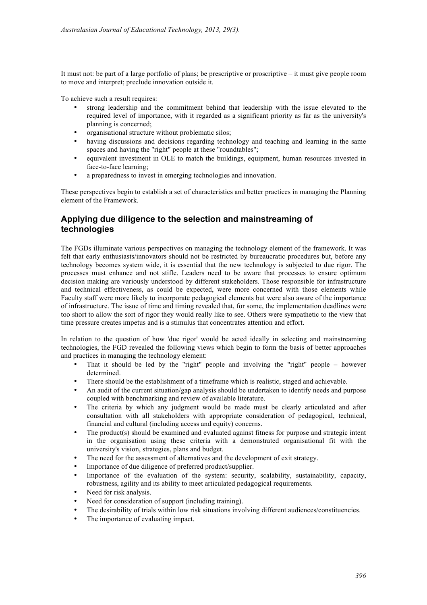It must not: be part of a large portfolio of plans; be prescriptive or proscriptive – it must give people room to move and interpret; preclude innovation outside it.

To achieve such a result requires:

- strong leadership and the commitment behind that leadership with the issue elevated to the required level of importance, with it regarded as a significant priority as far as the university's planning is concerned;
- organisational structure without problematic silos;
- having discussions and decisions regarding technology and teaching and learning in the same spaces and having the "right" people at these "roundtables";
- equivalent investment in OLE to match the buildings, equipment, human resources invested in face-to-face learning;
- a preparedness to invest in emerging technologies and innovation.

These perspectives begin to establish a set of characteristics and better practices in managing the Planning element of the Framework.

## **Applying due diligence to the selection and mainstreaming of technologies**

The FGDs illuminate various perspectives on managing the technology element of the framework. It was felt that early enthusiasts/innovators should not be restricted by bureaucratic procedures but, before any technology becomes system wide, it is essential that the new technology is subjected to due rigor. The processes must enhance and not stifle. Leaders need to be aware that processes to ensure optimum decision making are variously understood by different stakeholders. Those responsible for infrastructure and technical effectiveness, as could be expected, were more concerned with those elements while Faculty staff were more likely to incorporate pedagogical elements but were also aware of the importance of infrastructure. The issue of time and timing revealed that, for some, the implementation deadlines were too short to allow the sort of rigor they would really like to see. Others were sympathetic to the view that time pressure creates impetus and is a stimulus that concentrates attention and effort.

In relation to the question of how 'due rigor' would be acted ideally in selecting and mainstreaming technologies, the FGD revealed the following views which begin to form the basis of better approaches and practices in managing the technology element:

- That it should be led by the "right" people and involving the "right" people however determined.
- There should be the establishment of a timeframe which is realistic, staged and achievable.
- An audit of the current situation/gap analysis should be undertaken to identify needs and purpose coupled with benchmarking and review of available literature.
- The criteria by which any judgment would be made must be clearly articulated and after consultation with all stakeholders with appropriate consideration of pedagogical, technical, financial and cultural (including access and equity) concerns.
- The product(s) should be examined and evaluated against fitness for purpose and strategic intent in the organisation using these criteria with a demonstrated organisational fit with the university's vision, strategies, plans and budget.
- The need for the assessment of alternatives and the development of exit strategy.
- Importance of due diligence of preferred product/supplier.
- Importance of the evaluation of the system: security, scalability, sustainability, capacity, robustness, agility and its ability to meet articulated pedagogical requirements.
- Need for risk analysis.
- Need for consideration of support (including training).
- The desirability of trials within low risk situations involving different audiences/constituencies.
- The importance of evaluating impact.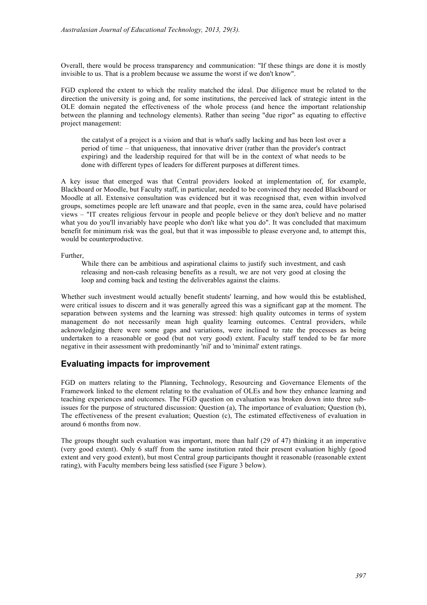Overall, there would be process transparency and communication: "If these things are done it is mostly invisible to us. That is a problem because we assume the worst if we don't know".

FGD explored the extent to which the reality matched the ideal. Due diligence must be related to the direction the university is going and, for some institutions, the perceived lack of strategic intent in the OLE domain negated the effectiveness of the whole process (and hence the important relationship between the planning and technology elements). Rather than seeing "due rigor" as equating to effective project management:

the catalyst of a project is a vision and that is what's sadly lacking and has been lost over a period of time – that uniqueness, that innovative driver (rather than the provider's contract expiring) and the leadership required for that will be in the context of what needs to be done with different types of leaders for different purposes at different times.

A key issue that emerged was that Central providers looked at implementation of, for example, Blackboard or Moodle, but Faculty staff, in particular, needed to be convinced they needed Blackboard or Moodle at all. Extensive consultation was evidenced but it was recognised that, even within involved groups, sometimes people are left unaware and that people, even in the same area, could have polarised views – "IT creates religious fervour in people and people believe or they don't believe and no matter what you do you'll invariably have people who don't like what you do". It was concluded that maximum benefit for minimum risk was the goal, but that it was impossible to please everyone and, to attempt this, would be counterproductive.

Further,

While there can be ambitious and aspirational claims to justify such investment, and cash releasing and non-cash releasing benefits as a result, we are not very good at closing the loop and coming back and testing the deliverables against the claims.

Whether such investment would actually benefit students' learning, and how would this be established, were critical issues to discern and it was generally agreed this was a significant gap at the moment. The separation between systems and the learning was stressed: high quality outcomes in terms of system management do not necessarily mean high quality learning outcomes. Central providers, while acknowledging there were some gaps and variations, were inclined to rate the processes as being undertaken to a reasonable or good (but not very good) extent. Faculty staff tended to be far more negative in their assessment with predominantly 'nil' and to 'minimal' extent ratings.

#### **Evaluating impacts for improvement**

FGD on matters relating to the Planning, Technology, Resourcing and Governance Elements of the Framework linked to the element relating to the evaluation of OLEs and how they enhance learning and teaching experiences and outcomes. The FGD question on evaluation was broken down into three subissues for the purpose of structured discussion: Question (a), The importance of evaluation; Question (b), The effectiveness of the present evaluation; Question (c), The estimated effectiveness of evaluation in around 6 months from now.

The groups thought such evaluation was important, more than half (29 of 47) thinking it an imperative (very good extent). Only 6 staff from the same institution rated their present evaluation highly (good extent and very good extent), but most Central group participants thought it reasonable (reasonable extent rating), with Faculty members being less satisfied (see Figure 3 below).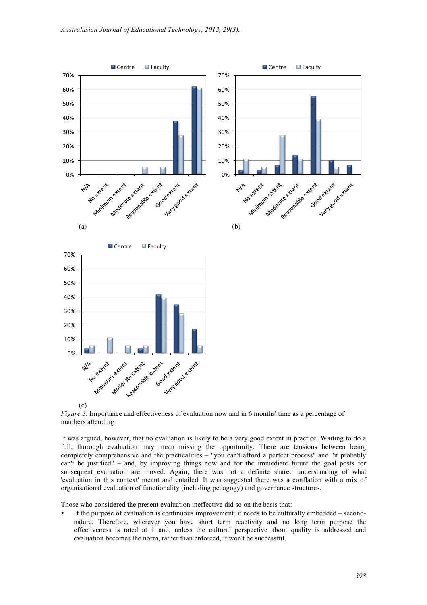



It was argued, however, that no evaluation is likely to be a very good extent in practice. Waiting to do a full, thorough evaluation may mean missing the opportunity. There are tensions between being completely comprehensive and the practicalities – "you can't afford a perfect process" and "it probably can't be justified" – and, by improving things now and for the immediate future the goal posts for subsequent evaluation are moved. Again, there was not a definite shared understanding of what 'evaluation in this context' meant and entailed. It was suggested there was a conflation with a mix of organisational evaluation of functionality (including pedagogy) and governance structures.

Those who considered the present evaluation ineffective did so on the basis that:

• If the purpose of evaluation is continuous improvement, it needs to be culturally embedded – secondnature. Therefore, wherever you have short term reactivity and no long term purpose the effectiveness is rated at 1 and, unless the cultural perspective about quality is addressed and evaluation becomes the norm, rather than enforced, it won't be successful.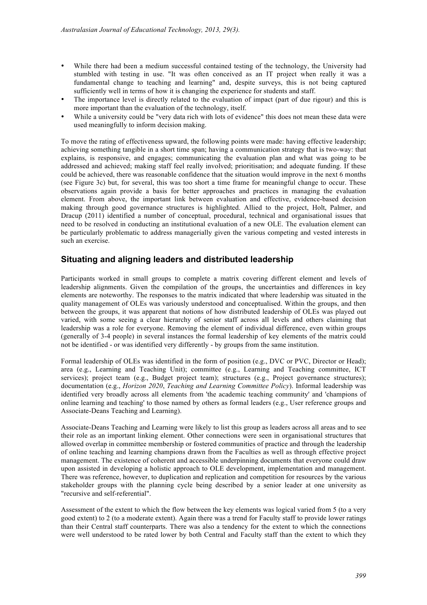- While there had been a medium successful contained testing of the technology, the University had stumbled with testing in use. "It was often conceived as an IT project when really it was a fundamental change to teaching and learning" and, despite surveys, this is not being captured sufficiently well in terms of how it is changing the experience for students and staff.
- The importance level is directly related to the evaluation of impact (part of due rigour) and this is more important than the evaluation of the technology, itself.
- While a university could be "very data rich with lots of evidence" this does not mean these data were used meaningfully to inform decision making.

To move the rating of effectiveness upward, the following points were made: having effective leadership; achieving something tangible in a short time span; having a communication strategy that is two-way: that explains, is responsive, and engages; communicating the evaluation plan and what was going to be addressed and achieved; making staff feel really involved; prioritisation; and adequate funding. If these could be achieved, there was reasonable confidence that the situation would improve in the next 6 months (see Figure 3c) but, for several, this was too short a time frame for meaningful change to occur. These observations again provide a basis for better approaches and practices in managing the evaluation element. From above, the important link between evaluation and effective, evidence-based decision making through good governance structures is highlighted. Allied to the project, Holt, Palmer, and Dracup (2011) identified a number of conceptual, procedural, technical and organisational issues that need to be resolved in conducting an institutional evaluation of a new OLE. The evaluation element can be particularly problematic to address managerially given the various competing and vested interests in such an exercise.

#### **Situating and aligning leaders and distributed leadership**

Participants worked in small groups to complete a matrix covering different element and levels of leadership alignments. Given the compilation of the groups, the uncertainties and differences in key elements are noteworthy. The responses to the matrix indicated that where leadership was situated in the quality management of OLEs was variously understood and conceptualised. Within the groups, and then between the groups, it was apparent that notions of how distributed leadership of OLEs was played out varied, with some seeing a clear hierarchy of senior staff across all levels and others claiming that leadership was a role for everyone. Removing the element of individual difference, even within groups (generally of 3-4 people) in several instances the formal leadership of key elements of the matrix could not be identified - or was identified very differently - by groups from the same institution.

Formal leadership of OLEs was identified in the form of position (e.g., DVC or PVC, Director or Head); area (e.g., Learning and Teaching Unit); committee (e.g., Learning and Teaching committee, ICT services); project team (e.g., Budget project team); structures (e.g., Project governance structures); documentation (e.g., *Horizon 2020*, *Teaching and Learning Committee Policy*). Informal leadership was identified very broadly across all elements from 'the academic teaching community' and 'champions of online learning and teaching' to those named by others as formal leaders (e.g., User reference groups and Associate-Deans Teaching and Learning).

Associate-Deans Teaching and Learning were likely to list this group as leaders across all areas and to see their role as an important linking element. Other connections were seen in organisational structures that allowed overlap in committee membership or fostered communities of practice and through the leadership of online teaching and learning champions drawn from the Faculties as well as through effective project management. The existence of coherent and accessible underpinning documents that everyone could draw upon assisted in developing a holistic approach to OLE development, implementation and management. There was reference, however, to duplication and replication and competition for resources by the various stakeholder groups with the planning cycle being described by a senior leader at one university as "recursive and self-referential".

Assessment of the extent to which the flow between the key elements was logical varied from 5 (to a very good extent) to 2 (to a moderate extent). Again there was a trend for Faculty staff to provide lower ratings than their Central staff counterparts. There was also a tendency for the extent to which the connections were well understood to be rated lower by both Central and Faculty staff than the extent to which they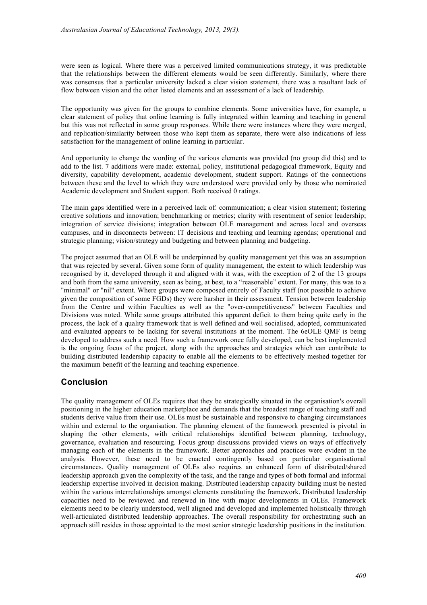were seen as logical. Where there was a perceived limited communications strategy, it was predictable that the relationships between the different elements would be seen differently. Similarly, where there was consensus that a particular university lacked a clear vision statement, there was a resultant lack of flow between vision and the other listed elements and an assessment of a lack of leadership.

The opportunity was given for the groups to combine elements. Some universities have, for example, a clear statement of policy that online learning is fully integrated within learning and teaching in general but this was not reflected in some group responses. While there were instances where they were merged, and replication/similarity between those who kept them as separate, there were also indications of less satisfaction for the management of online learning in particular.

And opportunity to change the wording of the various elements was provided (no group did this) and to add to the list. 7 additions were made: external, policy, institutional pedagogical framework, Equity and diversity, capability development, academic development, student support. Ratings of the connections between these and the level to which they were understood were provided only by those who nominated Academic development and Student support. Both received 0 ratings.

The main gaps identified were in a perceived lack of: communication; a clear vision statement; fostering creative solutions and innovation; benchmarking or metrics; clarity with resentment of senior leadership; integration of service divisions; integration between OLE management and across local and overseas campuses, and in disconnects between: IT decisions and teaching and learning agendas; operational and strategic planning; vision/strategy and budgeting and between planning and budgeting.

The project assumed that an OLE will be underpinned by quality management yet this was an assumption that was rejected by several. Given some form of quality management, the extent to which leadership was recognised by it, developed through it and aligned with it was, with the exception of 2 of the 13 groups and both from the same university, seen as being, at best, to a "reasonable" extent. For many, this was to a "minimal" or "nil" extent. Where groups were composed entirely of Faculty staff (not possible to achieve given the composition of some FGDs) they were harsher in their assessment. Tension between leadership from the Centre and within Faculties as well as the "over-competitiveness" between Faculties and Divisions was noted. While some groups attributed this apparent deficit to them being quite early in the process, the lack of a quality framework that is well defined and well socialised, adopted, communicated and evaluated appears to be lacking for several institutions at the moment. The 6eOLE QMF is being developed to address such a need. How such a framework once fully developed, can be best implemented is the ongoing focus of the project, along with the approaches and strategies which can contribute to building distributed leadership capacity to enable all the elements to be effectively meshed together for the maximum benefit of the learning and teaching experience.

#### **Conclusion**

The quality management of OLEs requires that they be strategically situated in the organisation's overall positioning in the higher education marketplace and demands that the broadest range of teaching staff and students derive value from their use. OLEs must be sustainable and responsive to changing circumstances within and external to the organisation. The planning element of the framework presented is pivotal in shaping the other elements, with critical relationships identified between planning, technology, governance, evaluation and resourcing. Focus group discussions provided views on ways of effectively managing each of the elements in the framework. Better approaches and practices were evident in the analysis. However, these need to be enacted contingently based on particular organisational circumstances. Quality management of OLEs also requires an enhanced form of distributed/shared leadership approach given the complexity of the task, and the range and types of both formal and informal leadership expertise involved in decision making. Distributed leadership capacity building must be nested within the various interrelationships amongst elements constituting the framework. Distributed leadership capacities need to be reviewed and renewed in line with major developments in OLEs. Framework elements need to be clearly understood, well aligned and developed and implemented holistically through well-articulated distributed leadership approaches. The overall responsibility for orchestrating such an approach still resides in those appointed to the most senior strategic leadership positions in the institution.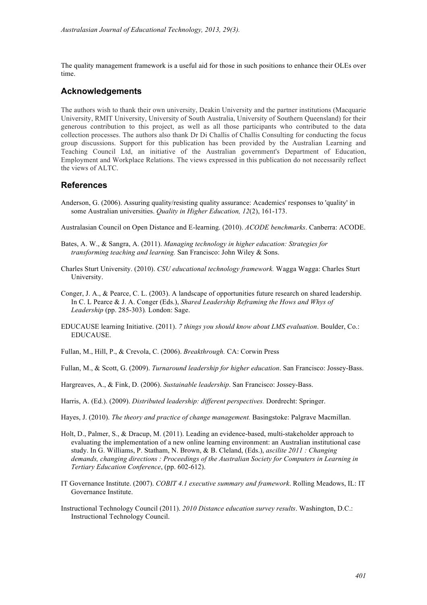The quality management framework is a useful aid for those in such positions to enhance their OLEs over time.

#### **Acknowledgements**

The authors wish to thank their own university, Deakin University and the partner institutions (Macquarie University, RMIT University, University of South Australia, University of Southern Queensland) for their generous contribution to this project, as well as all those participants who contributed to the data collection processes. The authors also thank Dr Di Challis of Challis Consulting for conducting the focus group discussions. Support for this publication has been provided by the Australian Learning and Teaching Council Ltd, an initiative of the Australian government's Department of Education, Employment and Workplace Relations. The views expressed in this publication do not necessarily reflect the views of ALTC.

#### **References**

Anderson, G. (2006). Assuring quality/resisting quality assurance: Academics' responses to 'quality' in some Australian universities. *Quality in Higher Education, 12*(2), 161-173.

Australasian Council on Open Distance and E-learning. (2010). *ACODE benchmarks*. Canberra: ACODE.

- Bates, A. W., & Sangra, A. (2011). *Managing technology in higher education: Strategies for transforming teaching and learning.* San Francisco: John Wiley & Sons.
- Charles Sturt University. (2010). *CSU educational technology framework.* Wagga Wagga: Charles Sturt University.
- Conger, J. A., & Pearce, C. L. (2003). A landscape of opportunities future research on shared leadership. In C. L Pearce & J. A. Conger (Eds.), *Shared Leadership Reframing the Hows and Whys of Leadership* (pp. 285-303)*.* London: Sage.
- EDUCAUSE learning Initiative. (2011). *7 things you should know about LMS evaluation*. Boulder, Co.: EDUCAUSE.
- Fullan, M., Hill, P., & Crevola, C. (2006). *Breakthrough.* CA: Corwin Press

Fullan, M., & Scott, G. (2009). *Turnaround leadership for higher education*. San Francisco: Jossey-Bass.

- Hargreaves, A., & Fink, D. (2006). *Sustainable leadership*. San Francisco: Jossey-Bass.
- Harris, A. (Ed.). (2009). *Distributed leadership: different perspectives.* Dordrecht: Springer.
- Hayes, J. (2010). *The theory and practice of change management.* Basingstoke: Palgrave Macmillan.
- Holt, D., Palmer, S., & Dracup, M. (2011). Leading an evidence-based, multi-stakeholder approach to evaluating the implementation of a new online learning environment: an Australian institutional case study. In G. Williams, P. Statham, N. Brown, & B. Cleland, (Eds.), *ascilite 2011 : Changing*  demands, changing directions : Proceedings of the Australian Society for Computers in Learning in *Tertiary Education Conference*, (pp. 602-612).
- IT Governance Institute. (2007). *COBIT 4.1 executive summary and framework*. Rolling Meadows, IL: IT Governance Institute.
- Instructional Technology Council (2011). *2010 Distance education survey results*. Washington, D.C.: Instructional Technology Council.